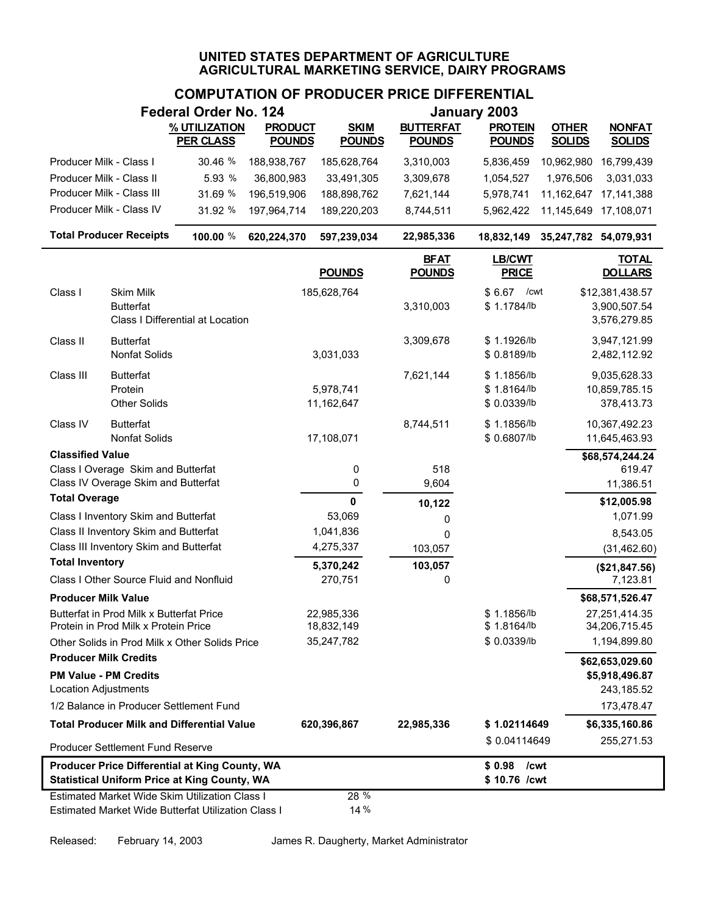# **COMPUTATION OF PRODUCER PRICE DIFFERENTIAL**

|                                                                                                       |                                                                                  | Federal Order No. 124                                                                                 |                                 |                              |                                   | January 2003                              |                               |                                                 |
|-------------------------------------------------------------------------------------------------------|----------------------------------------------------------------------------------|-------------------------------------------------------------------------------------------------------|---------------------------------|------------------------------|-----------------------------------|-------------------------------------------|-------------------------------|-------------------------------------------------|
|                                                                                                       |                                                                                  | % UTILIZATION<br><b>PER CLASS</b>                                                                     | <b>PRODUCT</b><br><b>POUNDS</b> | <b>SKIM</b><br><b>POUNDS</b> | <b>BUTTERFAT</b><br><b>POUNDS</b> | <b>PROTEIN</b><br><b>POUNDS</b>           | <b>OTHER</b><br><b>SOLIDS</b> | <b>NONFAT</b><br><b>SOLIDS</b>                  |
| Producer Milk - Class I                                                                               |                                                                                  | 30.46 %                                                                                               | 188,938,767                     | 185,628,764                  | 3,310,003                         | 5,836,459                                 | 10,962,980                    | 16,799,439                                      |
| Producer Milk - Class II                                                                              |                                                                                  | 5.93 %                                                                                                | 36,800,983                      | 33,491,305                   | 3,309,678                         | 1,054,527                                 | 1,976,506                     | 3,031,033                                       |
|                                                                                                       | Producer Milk - Class III                                                        | 31.69 %                                                                                               | 196,519,906                     | 188,898,762                  | 7,621,144                         | 5,978,741                                 | 11,162,647                    | 17, 141, 388                                    |
|                                                                                                       | Producer Milk - Class IV                                                         | 31.92 %                                                                                               | 197,964,714                     | 189,220,203                  | 8,744,511                         | 5,962,422                                 | 11,145,649                    | 17,108,071                                      |
|                                                                                                       | <b>Total Producer Receipts</b>                                                   | 100.00 %                                                                                              | 620,224,370                     | 597,239,034                  | 22,985,336                        | 18,832,149                                | 35,247,782 54,079,931         |                                                 |
|                                                                                                       |                                                                                  |                                                                                                       |                                 | <b>POUNDS</b>                | <b>BFAT</b><br><b>POUNDS</b>      | <b>LB/CWT</b><br><b>PRICE</b>             |                               | <b>TOTAL</b><br><b>DOLLARS</b>                  |
| Class I                                                                                               | Skim Milk<br><b>Butterfat</b>                                                    | Class I Differential at Location                                                                      |                                 | 185,628,764                  | 3,310,003                         | \$6.67<br>/cwt<br>\$1.1784/lb             |                               | \$12,381,438.57<br>3,900,507.54<br>3,576,279.85 |
| Class II                                                                                              | <b>Butterfat</b><br>Nonfat Solids                                                |                                                                                                       |                                 | 3,031,033                    | 3,309,678                         | \$1.1926/lb<br>\$0.8189/lb                |                               | 3,947,121.99<br>2,482,112.92                    |
| Class III                                                                                             | <b>Butterfat</b><br>Protein<br><b>Other Solids</b>                               |                                                                                                       |                                 | 5,978,741<br>11,162,647      | 7,621,144                         | \$1.1856/lb<br>\$1.8164/b<br>\$ 0.0339/lb |                               | 9,035,628.33<br>10,859,785.15<br>378,413.73     |
| Class IV                                                                                              | <b>Butterfat</b><br><b>Nonfat Solids</b>                                         |                                                                                                       |                                 | 17,108,071                   | 8,744,511                         | \$1.1856/lb<br>\$ 0.6807/lb               |                               | 10,367,492.23<br>11,645,463.93                  |
| <b>Classified Value</b>                                                                               |                                                                                  |                                                                                                       |                                 |                              |                                   |                                           |                               | \$68,574,244.24                                 |
|                                                                                                       | Class I Overage Skim and Butterfat                                               |                                                                                                       |                                 | 0                            | 518                               |                                           |                               | 619.47                                          |
|                                                                                                       | Class IV Overage Skim and Butterfat                                              |                                                                                                       |                                 | 0                            | 9,604                             |                                           |                               | 11,386.51                                       |
| <b>Total Overage</b>                                                                                  |                                                                                  |                                                                                                       |                                 | $\mathbf 0$                  | 10,122                            |                                           |                               | \$12,005.98                                     |
|                                                                                                       | Class I Inventory Skim and Butterfat                                             |                                                                                                       |                                 | 53,069                       | 0                                 |                                           |                               | 1,071.99                                        |
|                                                                                                       | Class II Inventory Skim and Butterfat<br>Class III Inventory Skim and Butterfat  |                                                                                                       |                                 | 1,041,836<br>4,275,337       | 0<br>103,057                      |                                           |                               | 8,543.05<br>(31, 462.60)                        |
| <b>Total Inventory</b>                                                                                |                                                                                  |                                                                                                       |                                 | 5,370,242                    | 103,057                           |                                           |                               |                                                 |
|                                                                                                       | Class I Other Source Fluid and Nonfluid                                          |                                                                                                       |                                 | 270,751                      | 0                                 |                                           |                               | (\$21,847.56)<br>7,123.81                       |
| <b>Producer Milk Value</b>                                                                            |                                                                                  |                                                                                                       |                                 |                              |                                   |                                           |                               | \$68,571,526.47                                 |
|                                                                                                       | Butterfat in Prod Milk x Butterfat Price<br>Protein in Prod Milk x Protein Price |                                                                                                       |                                 | 22,985,336<br>18,832,149     |                                   | \$1.1856/lb<br>\$1.8164/lb                |                               | 27,251,414.35<br>34,206,715.45                  |
|                                                                                                       |                                                                                  | Other Solids in Prod Milk x Other Solids Price                                                        |                                 | 35,247,782                   |                                   | \$ 0.0339/lb                              |                               | 1,194,899.80                                    |
|                                                                                                       | <b>Producer Milk Credits</b>                                                     |                                                                                                       |                                 |                              |                                   |                                           |                               | \$62,653,029.60                                 |
| <b>Location Adjustments</b>                                                                           | <b>PM Value - PM Credits</b>                                                     |                                                                                                       |                                 |                              |                                   |                                           |                               | \$5,918,496.87<br>243,185.52                    |
|                                                                                                       | 1/2 Balance in Producer Settlement Fund                                          |                                                                                                       |                                 |                              |                                   |                                           |                               | 173,478.47                                      |
|                                                                                                       |                                                                                  | <b>Total Producer Milk and Differential Value</b>                                                     |                                 | 620,396,867                  | 22,985,336                        | \$1.02114649                              |                               | \$6,335,160.86                                  |
|                                                                                                       | <b>Producer Settlement Fund Reserve</b>                                          |                                                                                                       |                                 |                              |                                   | \$0.04114649                              |                               | 255,271.53                                      |
| Producer Price Differential at King County, WA<br><b>Statistical Uniform Price at King County, WA</b> |                                                                                  |                                                                                                       |                                 |                              |                                   | \$0.98<br>\$10.76 /cwt                    | /cwt                          |                                                 |
|                                                                                                       |                                                                                  | Estimated Market Wide Skim Utilization Class I<br>Estimated Market Wide Butterfat Utilization Class I |                                 | 28 %<br>14%                  |                                   |                                           |                               |                                                 |

Released: February 14, 2003 James R. Daugherty, Market Administrator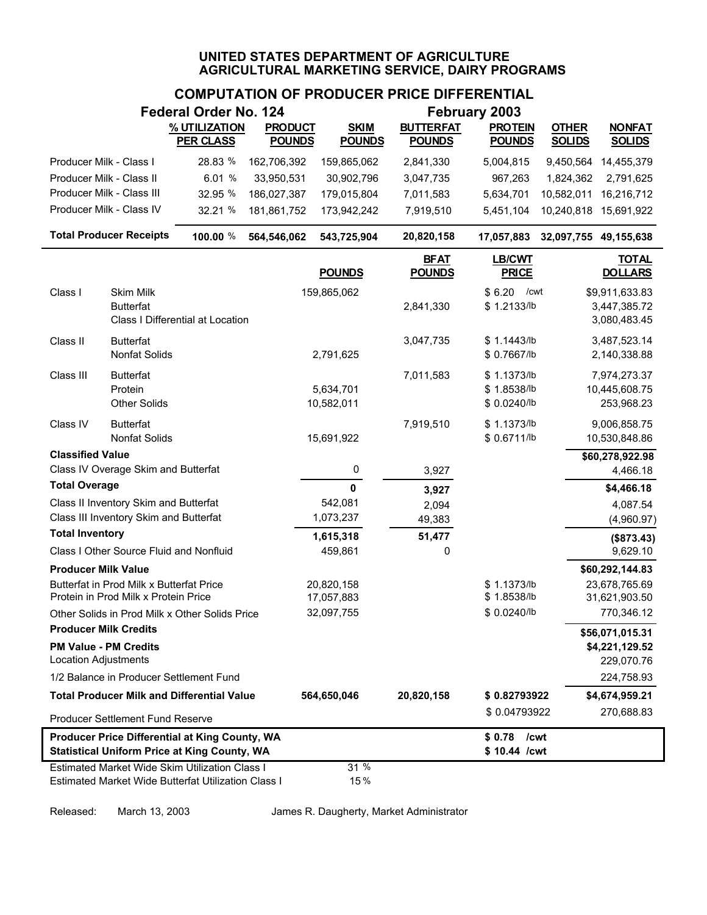## **COMPUTATION OF PRODUCER PRICE DIFFERENTIAL**

| February 2003<br>Federal Order No. 124              |                                          |                                                       |                |                          |                                                   |                               |               |                                  |
|-----------------------------------------------------|------------------------------------------|-------------------------------------------------------|----------------|--------------------------|---------------------------------------------------|-------------------------------|---------------|----------------------------------|
|                                                     |                                          | % UTILIZATION                                         | <b>PRODUCT</b> | <b>SKIM</b>              | <b>BUTTERFAT</b>                                  | <b>PROTEIN</b>                | <b>OTHER</b>  | <b>NONFAT</b>                    |
|                                                     |                                          | <b>PER CLASS</b>                                      | <b>POUNDS</b>  | <b>POUNDS</b>            | <b>POUNDS</b>                                     | <b>POUNDS</b>                 | <b>SOLIDS</b> | <b>SOLIDS</b>                    |
| Producer Milk - Class I                             |                                          | 28.83 %                                               | 162,706,392    | 159,865,062              | 2,841,330                                         | 5,004,815                     | 9,450,564     | 14,455,379                       |
| Producer Milk - Class II                            |                                          | 6.01 %                                                | 33,950,531     | 30,902,796               | 3,047,735                                         | 967,263                       | 1,824,362     | 2,791,625                        |
|                                                     | Producer Milk - Class III                | 32.95 %                                               | 186,027,387    | 179,015,804              | 7,011,583                                         | 5,634,701                     | 10,582,011    | 16,216,712                       |
|                                                     | Producer Milk - Class IV                 | 32.21 %                                               | 181,861,752    | 173,942,242              | 7,919,510                                         | 5,451,104                     |               | 10,240,818 15,691,922            |
|                                                     | <b>Total Producer Receipts</b>           | 100.00 %                                              | 564,546,062    | 543,725,904              | 20,820,158<br>32,097,755 49,155,638<br>17,057,883 |                               |               |                                  |
|                                                     |                                          |                                                       |                | <b>POUNDS</b>            | <b>BFAT</b><br><b>POUNDS</b>                      | <b>LB/CWT</b><br><b>PRICE</b> |               | <b>TOTAL</b><br><b>DOLLARS</b>   |
| Class I                                             | Skim Milk                                |                                                       |                | 159,865,062              |                                                   | \$6.20<br>/cwt                |               | \$9,911,633.83                   |
|                                                     | <b>Butterfat</b>                         | Class I Differential at Location                      |                |                          | 2,841,330                                         | \$1.2133/lb                   |               | 3,447,385.72<br>3,080,483.45     |
| Class II                                            | <b>Butterfat</b>                         |                                                       |                |                          | 3,047,735                                         | \$1.1443/lb                   |               | 3,487,523.14                     |
|                                                     | <b>Nonfat Solids</b>                     |                                                       |                | 2,791,625                |                                                   | \$0.7667/lb                   |               | 2,140,338.88                     |
| Class III                                           | <b>Butterfat</b>                         |                                                       |                |                          | 7,011,583                                         | \$1.1373/lb                   |               | 7,974,273.37                     |
|                                                     | Protein                                  |                                                       |                | 5,634,701                |                                                   | \$1.8538/lb                   |               | 10,445,608.75                    |
|                                                     | <b>Other Solids</b>                      |                                                       |                | 10,582,011               |                                                   | \$ 0.0240/lb                  |               | 253,968.23                       |
| Class IV                                            | <b>Butterfat</b>                         |                                                       |                |                          | 7,919,510                                         | \$1.1373/lb                   |               | 9,006,858.75                     |
|                                                     | <b>Nonfat Solids</b>                     |                                                       |                | 15,691,922               |                                                   | \$ 0.6711/lb                  |               | 10,530,848.86                    |
| <b>Classified Value</b>                             |                                          |                                                       |                |                          |                                                   |                               |               | \$60,278,922.98                  |
|                                                     | Class IV Overage Skim and Butterfat      |                                                       |                | 0                        | 3,927                                             |                               |               | 4,466.18                         |
| <b>Total Overage</b>                                |                                          |                                                       |                | $\mathbf 0$              | 3,927                                             |                               |               | \$4,466.18                       |
|                                                     | Class II Inventory Skim and Butterfat    |                                                       |                | 542,081                  | 2,094                                             |                               |               | 4,087.54                         |
| <b>Total Inventory</b>                              | Class III Inventory Skim and Butterfat   |                                                       |                | 1,073,237                | 49,383                                            |                               |               | (4,960.97)                       |
|                                                     | Class I Other Source Fluid and Nonfluid  |                                                       |                | 1,615,318<br>459,861     | 51,477<br>0                                       |                               |               | (\$873.43)<br>9,629.10           |
|                                                     |                                          |                                                       |                |                          |                                                   |                               |               |                                  |
| <b>Producer Milk Value</b>                          | Butterfat in Prod Milk x Butterfat Price |                                                       |                |                          |                                                   | \$1.1373/b                    |               | \$60,292,144.83<br>23,678,765.69 |
|                                                     | Protein in Prod Milk x Protein Price     |                                                       |                | 20,820,158<br>17,057,883 |                                                   | \$1.8538/lb                   |               | 31,621,903.50                    |
|                                                     |                                          | Other Solids in Prod Milk x Other Solids Price        |                | 32,097,755               |                                                   | \$ 0.0240/lb                  |               | 770,346.12                       |
| <b>Producer Milk Credits</b>                        |                                          |                                                       |                |                          |                                                   |                               |               | \$56,071,015.31                  |
|                                                     | <b>PM Value - PM Credits</b>             |                                                       |                |                          |                                                   |                               |               | \$4,221,129.52                   |
| <b>Location Adjustments</b>                         |                                          |                                                       |                |                          |                                                   |                               |               | 229,070.76                       |
|                                                     | 1/2 Balance in Producer Settlement Fund  |                                                       |                |                          |                                                   |                               |               | 224,758.93                       |
|                                                     |                                          | <b>Total Producer Milk and Differential Value</b>     |                | 564,650,046              | 20,820,158                                        | \$0.82793922                  |               | \$4,674,959.21                   |
|                                                     | Producer Settlement Fund Reserve         |                                                       |                |                          |                                                   | \$0.04793922                  |               | 270,688.83                       |
|                                                     |                                          | Producer Price Differential at King County, WA        |                |                          |                                                   | \$0.78<br>/cwt                |               |                                  |
| <b>Statistical Uniform Price at King County, WA</b> |                                          |                                                       |                |                          |                                                   | \$10.44 /cwt                  |               |                                  |
|                                                     |                                          | <b>Estimated Market Wide Skim Utilization Class I</b> |                | 31 %                     |                                                   |                               |               |                                  |
|                                                     |                                          | Estimated Market Wide Butterfat Utilization Class I   |                | 15%                      |                                                   |                               |               |                                  |

Released: March 13, 2003 James R. Daugherty, Market Administrator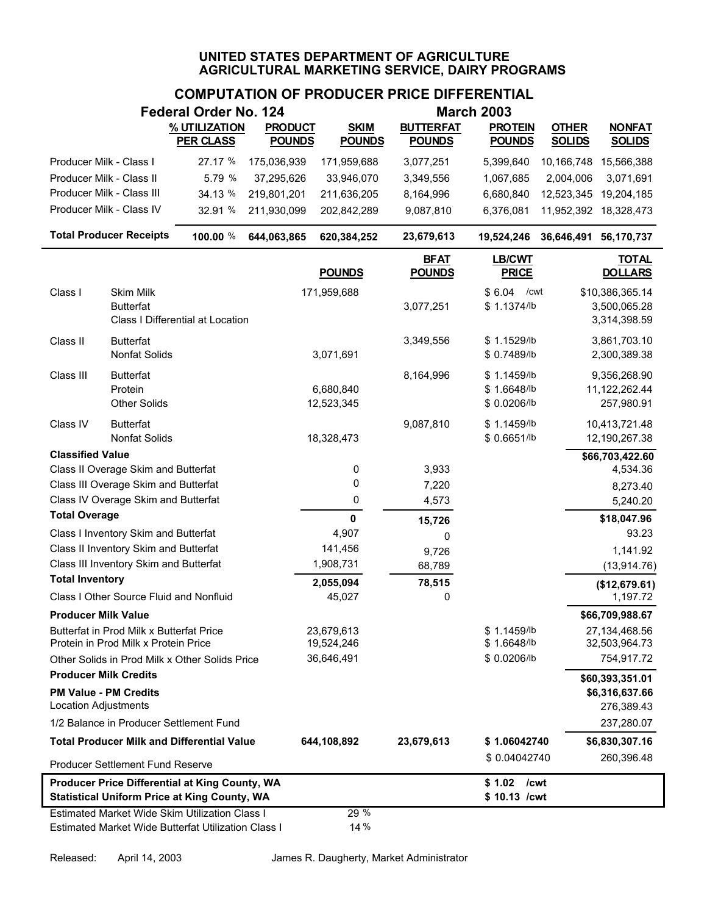|                              |                                                                                  | <b>Federal Order No. 124</b>                                                                                 |                |                          |                              | <b>March 2003</b>                         |                       |                                                 |
|------------------------------|----------------------------------------------------------------------------------|--------------------------------------------------------------------------------------------------------------|----------------|--------------------------|------------------------------|-------------------------------------------|-----------------------|-------------------------------------------------|
|                              |                                                                                  | % UTILIZATION                                                                                                | <b>PRODUCT</b> | <b>SKIM</b>              | <b>BUTTERFAT</b>             | <b>PROTEIN</b>                            | <b>OTHER</b>          | <b>NONFAT</b>                                   |
|                              |                                                                                  | <b>PER CLASS</b>                                                                                             | <b>POUNDS</b>  | <b>POUNDS</b>            | <b>POUNDS</b>                | <b>POUNDS</b>                             | <b>SOLIDS</b>         | <b>SOLIDS</b>                                   |
| Producer Milk - Class I      |                                                                                  | 27.17 %                                                                                                      | 175,036,939    | 171,959,688              | 3,077,251                    | 5,399,640                                 |                       | 10,166,748 15,566,388                           |
| Producer Milk - Class II     |                                                                                  | 5.79 %                                                                                                       | 37,295,626     | 33,946,070               | 3,349,556                    | 1,067,685                                 | 2,004,006             | 3,071,691                                       |
|                              | Producer Milk - Class III                                                        | 34.13 %                                                                                                      | 219,801,201    | 211,636,205              | 8,164,996                    | 6,680,840                                 | 12,523,345            | 19,204,185                                      |
|                              | Producer Milk - Class IV                                                         | 32.91 %                                                                                                      | 211,930,099    | 202,842,289              | 9,087,810                    | 6,376,081                                 |                       | 11,952,392 18,328,473                           |
|                              | <b>Total Producer Receipts</b>                                                   | 100.00 %                                                                                                     | 644,063,865    | 620,384,252              | 23,679,613                   | 19,524,246                                | 36,646,491 56,170,737 |                                                 |
|                              |                                                                                  |                                                                                                              |                | <b>POUNDS</b>            | <b>BFAT</b><br><b>POUNDS</b> | LB/CWT<br><b>PRICE</b>                    |                       | <b>TOTAL</b><br><b>DOLLARS</b>                  |
| Class I                      | <b>Skim Milk</b><br><b>Butterfat</b>                                             | Class I Differential at Location                                                                             |                | 171,959,688              | 3,077,251                    | \$6.04<br>/cwt<br>\$1.1374/lb             |                       | \$10,386,365.14<br>3,500,065.28<br>3,314,398.59 |
| Class II                     | <b>Butterfat</b><br>Nonfat Solids                                                |                                                                                                              |                | 3,071,691                | 3,349,556                    | \$1.1529/lb<br>\$0.7489/lb                |                       | 3,861,703.10<br>2,300,389.38                    |
| Class III                    | <b>Butterfat</b><br>Protein<br><b>Other Solids</b>                               |                                                                                                              |                | 6,680,840<br>12,523,345  | 8,164,996                    | \$1.1459/lb<br>\$1.6648/lb<br>\$0.0206/lb |                       | 9,356,268.90<br>11,122,262.44<br>257,980.91     |
| Class IV                     | <b>Butterfat</b><br>Nonfat Solids                                                |                                                                                                              |                | 18,328,473               | 9,087,810                    | \$1.1459/lb<br>\$0.6651/lb                |                       | 10,413,721.48<br>12,190,267.38                  |
| <b>Classified Value</b>      |                                                                                  |                                                                                                              |                |                          |                              |                                           |                       | \$66,703,422.60                                 |
|                              | Class II Overage Skim and Butterfat                                              |                                                                                                              |                | 0                        | 3,933                        |                                           |                       | 4,534.36                                        |
|                              | Class III Overage Skim and Butterfat                                             |                                                                                                              |                | 0                        | 7,220                        |                                           |                       | 8,273.40                                        |
| <b>Total Overage</b>         | Class IV Overage Skim and Butterfat                                              |                                                                                                              |                | 0                        | 4,573                        |                                           |                       | 5,240.20                                        |
|                              | Class I Inventory Skim and Butterfat                                             |                                                                                                              |                | $\mathbf{0}$<br>4,907    | 15,726                       |                                           |                       | \$18,047.96<br>93.23                            |
|                              | Class II Inventory Skim and Butterfat                                            |                                                                                                              |                | 141,456                  | 0                            |                                           |                       | 1,141.92                                        |
|                              | Class III Inventory Skim and Butterfat                                           |                                                                                                              |                | 1,908,731                | 9,726<br>68,789              |                                           |                       | (13, 914.76)                                    |
| <b>Total Inventory</b>       |                                                                                  |                                                                                                              |                | 2,055,094                | 78,515                       |                                           |                       | (\$12,679.61)                                   |
|                              | Class I Other Source Fluid and Nonfluid                                          |                                                                                                              |                | 45,027                   | 0                            |                                           |                       | 1,197.72                                        |
| <b>Producer Milk Value</b>   |                                                                                  |                                                                                                              |                |                          |                              |                                           |                       | \$66,709,988.67                                 |
|                              | Butterfat in Prod Milk x Butterfat Price<br>Protein in Prod Milk x Protein Price |                                                                                                              |                | 23,679,613<br>19,524,246 |                              | \$1.1459/lb<br>\$1.6648/lb                |                       | 27,134,468.56<br>32,503,964.73                  |
|                              |                                                                                  | Other Solids in Prod Milk x Other Solids Price                                                               |                | 36,646,491               |                              | \$0.0206/lb                               |                       | 754,917.72                                      |
| <b>Producer Milk Credits</b> |                                                                                  |                                                                                                              |                |                          |                              |                                           |                       | \$60,393,351.01                                 |
| <b>Location Adjustments</b>  | <b>PM Value - PM Credits</b>                                                     |                                                                                                              |                |                          |                              |                                           |                       | \$6,316,637.66<br>276,389.43                    |
|                              | 1/2 Balance in Producer Settlement Fund                                          |                                                                                                              |                |                          |                              |                                           |                       | 237,280.07                                      |
|                              |                                                                                  | <b>Total Producer Milk and Differential Value</b>                                                            |                | 644,108,892              | 23,679,613                   | \$1.06042740                              |                       | \$6,830,307.16                                  |
|                              | Producer Settlement Fund Reserve                                                 |                                                                                                              |                |                          |                              | \$0.04042740                              |                       | 260,396.48                                      |
|                              |                                                                                  | <b>Producer Price Differential at King County, WA</b><br><b>Statistical Uniform Price at King County, WA</b> |                |                          |                              | $$1.02$ / cwt<br>\$10.13 /cwt             |                       |                                                 |
|                              |                                                                                  | <b>Estimated Market Wide Skim Utilization Class I</b><br>Estimated Market Wide Butterfat Utilization Class I |                | 29 %<br>14 %             |                              |                                           |                       |                                                 |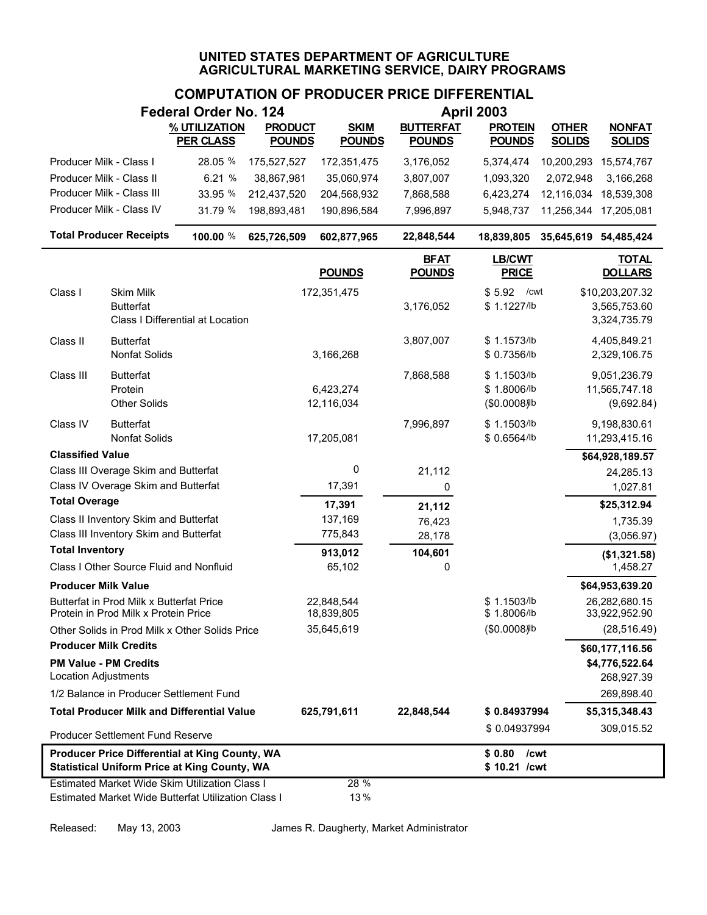# **COMPUTATION OF PRODUCER PRICE DIFFERENTIAL**

|                                                      |                                                                                  | Federal Order No. 124                                                                                 |                                 |                              |                                   | <b>April 2003</b>                          |                               |                                                 |
|------------------------------------------------------|----------------------------------------------------------------------------------|-------------------------------------------------------------------------------------------------------|---------------------------------|------------------------------|-----------------------------------|--------------------------------------------|-------------------------------|-------------------------------------------------|
|                                                      |                                                                                  | % UTILIZATION<br><b>PER CLASS</b>                                                                     | <b>PRODUCT</b><br><b>POUNDS</b> | <b>SKIM</b><br><b>POUNDS</b> | <b>BUTTERFAT</b><br><b>POUNDS</b> | <b>PROTEIN</b><br><b>POUNDS</b>            | <b>OTHER</b><br><b>SOLIDS</b> | <b>NONFAT</b><br><b>SOLIDS</b>                  |
| Producer Milk - Class I                              |                                                                                  | 28.05 %                                                                                               | 175,527,527                     | 172,351,475                  | 3,176,052                         | 5,374,474                                  | 10,200,293                    | 15,574,767                                      |
| Producer Milk - Class II                             |                                                                                  | 6.21 %                                                                                                | 38,867,981                      | 35,060,974                   | 3,807,007                         | 1,093,320                                  | 2,072,948                     | 3,166,268                                       |
| Producer Milk - Class III                            |                                                                                  | 33.95 %                                                                                               | 212,437,520                     | 204,568,932                  | 7,868,588                         | 6,423,274                                  | 12,116,034                    | 18,539,308                                      |
| Producer Milk - Class IV                             |                                                                                  | 31.79 %                                                                                               | 198,893,481                     | 190,896,584                  | 7,996,897                         | 5,948,737                                  | 11,256,344                    | 17,205,081                                      |
|                                                      | <b>Total Producer Receipts</b>                                                   | 100.00 %                                                                                              | 625,726,509                     | 602,877,965                  | 22,848,544                        | 18,839,805                                 | 35,645,619 54,485,424         |                                                 |
|                                                      |                                                                                  |                                                                                                       |                                 | <b>POUNDS</b>                | <b>BFAT</b><br><b>POUNDS</b>      | <b>LB/CWT</b><br><b>PRICE</b>              |                               | <b>TOTAL</b><br><b>DOLLARS</b>                  |
| Class I                                              | <b>Skim Milk</b><br><b>Butterfat</b>                                             | Class I Differential at Location                                                                      |                                 | 172,351,475                  | 3,176,052                         | \$5.92<br>/cwt<br>\$1.1227/lb              |                               | \$10,203,207.32<br>3,565,753.60<br>3,324,735.79 |
| Class II                                             | <b>Butterfat</b><br>Nonfat Solids                                                |                                                                                                       |                                 | 3,166,268                    | 3,807,007                         | \$1.1573/lb<br>\$ 0.7356/lb                |                               | 4,405,849.21<br>2,329,106.75                    |
| Class III                                            | <b>Butterfat</b><br>Protein<br><b>Other Solids</b>                               |                                                                                                       |                                 | 6,423,274<br>12,116,034      | 7,868,588                         | \$1.1503/lb<br>\$1.8006/lb<br>(\$0.0008) b |                               | 9,051,236.79<br>11,565,747.18<br>(9,692.84)     |
| Class IV                                             | <b>Butterfat</b><br><b>Nonfat Solids</b>                                         |                                                                                                       |                                 | 17,205,081                   | 7,996,897                         | \$1.1503/lb<br>\$0.6564/lb                 |                               | 9,198,830.61<br>11,293,415.16                   |
| <b>Classified Value</b>                              |                                                                                  |                                                                                                       |                                 |                              |                                   |                                            |                               | \$64,928,189.57                                 |
|                                                      | Class III Overage Skim and Butterfat                                             |                                                                                                       |                                 | 0                            | 21,112                            |                                            |                               | 24,285.13                                       |
|                                                      | Class IV Overage Skim and Butterfat                                              |                                                                                                       |                                 | 17,391                       | 0                                 |                                            |                               | 1,027.81                                        |
| <b>Total Overage</b>                                 |                                                                                  |                                                                                                       |                                 | 17,391                       | 21,112                            |                                            |                               | \$25,312.94                                     |
|                                                      | Class II Inventory Skim and Butterfat                                            |                                                                                                       |                                 | 137,169                      | 76,423                            |                                            |                               | 1,735.39                                        |
| <b>Total Inventory</b>                               | Class III Inventory Skim and Butterfat                                           |                                                                                                       |                                 | 775,843                      | 28,178                            |                                            |                               | (3,056.97)                                      |
|                                                      | Class I Other Source Fluid and Nonfluid                                          |                                                                                                       |                                 | 913,012<br>65,102            | 104,601<br>0                      |                                            |                               | (\$1,321.58)<br>1,458.27                        |
| <b>Producer Milk Value</b>                           |                                                                                  |                                                                                                       |                                 |                              |                                   |                                            |                               | \$64,953,639.20                                 |
|                                                      | Butterfat in Prod Milk x Butterfat Price<br>Protein in Prod Milk x Protein Price |                                                                                                       |                                 | 22,848,544<br>18,839,805     |                                   | \$1.1503/lb<br>\$1.8006/lb                 |                               | 26,282,680.15<br>33,922,952.90                  |
|                                                      |                                                                                  | Other Solids in Prod Milk x Other Solids Price                                                        |                                 | 35,645,619                   |                                   | (\$0.0008) b                               |                               | (28, 516.49)                                    |
| <b>Producer Milk Credits</b>                         |                                                                                  |                                                                                                       |                                 |                              |                                   |                                            |                               | \$60,177,116.56                                 |
| <b>PM Value - PM Credits</b><br>Location Adjustments |                                                                                  |                                                                                                       |                                 |                              |                                   |                                            |                               | \$4,776,522.64<br>268,927.39                    |
|                                                      |                                                                                  | 1/2 Balance in Producer Settlement Fund                                                               |                                 |                              |                                   |                                            |                               | 269,898.40                                      |
|                                                      |                                                                                  | <b>Total Producer Milk and Differential Value</b>                                                     |                                 | 625,791,611                  | 22,848,544                        | \$0.84937994                               |                               | \$5,315,348.43                                  |
|                                                      | <b>Producer Settlement Fund Reserve</b>                                          |                                                                                                       |                                 |                              |                                   | \$0.04937994                               |                               | 309,015.52                                      |
|                                                      |                                                                                  | Producer Price Differential at King County, WA<br><b>Statistical Uniform Price at King County, WA</b> |                                 |                              |                                   | \$0.80<br>\$10.21 /cwt                     | /cwt                          |                                                 |
|                                                      |                                                                                  | Estimated Market Wide Skim Utilization Class I<br>Estimated Market Wide Butterfat Utilization Class I |                                 | 28 %<br>13%                  |                                   |                                            |                               |                                                 |

Released: May 13, 2003 James R. Daugherty, Market Administrator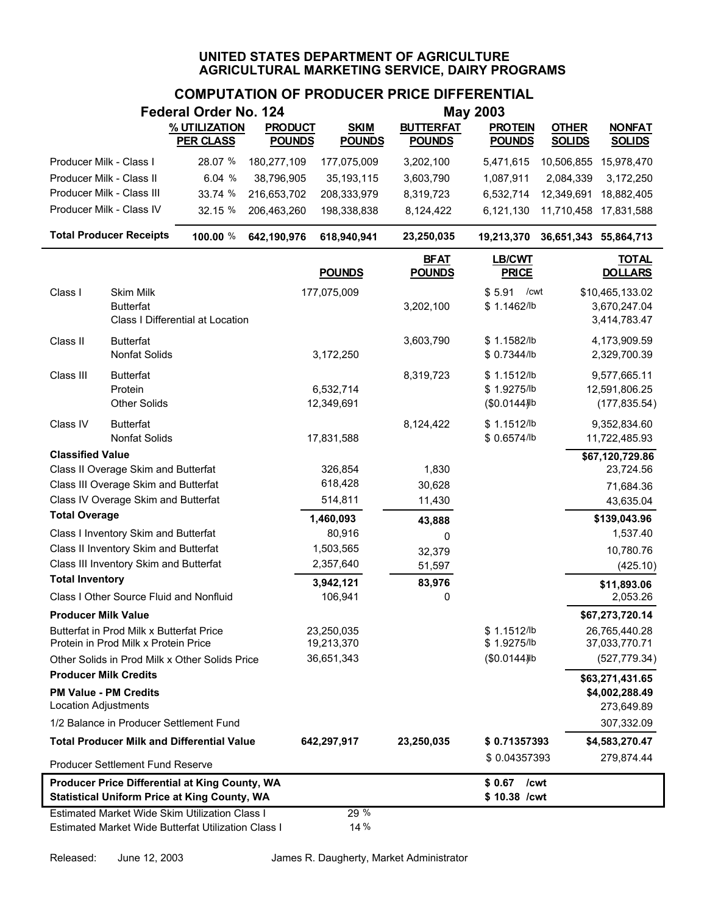|                                                                                             |                                                                                  | <b>Federal Order No. 124</b>                                                                                 |                |                          |                              | <b>May 2003</b>                            |                       |                                                 |
|---------------------------------------------------------------------------------------------|----------------------------------------------------------------------------------|--------------------------------------------------------------------------------------------------------------|----------------|--------------------------|------------------------------|--------------------------------------------|-----------------------|-------------------------------------------------|
|                                                                                             |                                                                                  | % UTILIZATION                                                                                                | <b>PRODUCT</b> | <b>SKIM</b>              | <b>BUTTERFAT</b>             | <b>PROTEIN</b>                             | <b>OTHER</b>          | <b>NONFAT</b>                                   |
|                                                                                             |                                                                                  | <b>PER CLASS</b>                                                                                             | <b>POUNDS</b>  | <b>POUNDS</b>            | <b>POUNDS</b>                | <b>POUNDS</b>                              | <b>SOLIDS</b>         | <b>SOLIDS</b>                                   |
| Producer Milk - Class I                                                                     |                                                                                  | 28.07 %                                                                                                      | 180,277,109    | 177,075,009              | 3,202,100                    | 5,471,615                                  |                       | 10,506,855 15,978,470                           |
| Producer Milk - Class II                                                                    |                                                                                  | 6.04%                                                                                                        | 38,796,905     | 35,193,115               | 3,603,790                    | 1,087,911                                  | 2,084,339             | 3,172,250                                       |
|                                                                                             | Producer Milk - Class III                                                        | 33.74 %                                                                                                      | 216,653,702    | 208,333,979              | 8,319,723                    | 6,532,714                                  | 12,349,691            | 18,882,405                                      |
|                                                                                             | Producer Milk - Class IV                                                         | 32.15 %                                                                                                      | 206,463,260    | 198,338,838              | 8,124,422                    | 6,121,130                                  | 11,710,458            | 17,831,588                                      |
|                                                                                             | <b>Total Producer Receipts</b>                                                   | 100.00 %                                                                                                     | 642,190,976    | 618,940,941              | 23,250,035                   | 19,213,370                                 | 36,651,343 55,864,713 |                                                 |
|                                                                                             |                                                                                  |                                                                                                              |                | <b>POUNDS</b>            | <b>BFAT</b><br><b>POUNDS</b> | <b>LB/CWT</b><br><b>PRICE</b>              |                       | <b>TOTAL</b><br><b>DOLLARS</b>                  |
| Class I                                                                                     | Skim Milk<br><b>Butterfat</b>                                                    | Class I Differential at Location                                                                             |                | 177,075,009              | 3,202,100                    | \$5.91<br>/cwt<br>\$1.1462/lb              |                       | \$10,465,133.02<br>3,670,247.04<br>3,414,783.47 |
| Class II                                                                                    | <b>Butterfat</b><br>Nonfat Solids                                                |                                                                                                              |                | 3,172,250                | 3,603,790                    | \$1.1582/lb<br>\$0.7344/lb                 |                       | 4,173,909.59<br>2,329,700.39                    |
| Class III                                                                                   | <b>Butterfat</b><br>Protein<br><b>Other Solids</b>                               |                                                                                                              |                | 6,532,714<br>12,349,691  | 8,319,723                    | \$1.1512/lb<br>\$1.9275/lb<br>(\$0.0144) b |                       | 9,577,665.11<br>12,591,806.25<br>(177, 835.54)  |
| Class IV                                                                                    | <b>Butterfat</b><br><b>Nonfat Solids</b>                                         |                                                                                                              |                | 17,831,588               | 8,124,422                    | \$1.1512/lb<br>\$ 0.6574/lb                |                       | 9,352,834.60<br>11,722,485.93                   |
| <b>Classified Value</b>                                                                     |                                                                                  |                                                                                                              |                |                          |                              |                                            |                       | \$67,120,729.86                                 |
|                                                                                             | Class II Overage Skim and Butterfat                                              |                                                                                                              |                | 326,854                  | 1,830                        |                                            |                       | 23,724.56                                       |
|                                                                                             | Class III Overage Skim and Butterfat                                             |                                                                                                              |                | 618,428                  | 30,628                       |                                            |                       | 71,684.36                                       |
| <b>Total Overage</b>                                                                        | Class IV Overage Skim and Butterfat                                              |                                                                                                              |                | 514,811                  | 11,430                       |                                            |                       | 43,635.04                                       |
|                                                                                             |                                                                                  |                                                                                                              |                | 1,460,093                | 43,888                       |                                            |                       | \$139,043.96<br>1,537.40                        |
|                                                                                             | Class I Inventory Skim and Butterfat<br>Class II Inventory Skim and Butterfat    |                                                                                                              |                | 80,916<br>1,503,565      | 0                            |                                            |                       |                                                 |
|                                                                                             | Class III Inventory Skim and Butterfat                                           |                                                                                                              |                | 2,357,640                | 32,379<br>51,597             |                                            |                       | 10,780.76<br>(425.10)                           |
| <b>Total Inventory</b>                                                                      |                                                                                  |                                                                                                              |                | 3,942,121                | 83,976                       |                                            |                       |                                                 |
|                                                                                             | Class I Other Source Fluid and Nonfluid                                          |                                                                                                              |                | 106,941                  | 0                            |                                            |                       | \$11,893.06<br>2,053.26                         |
| <b>Producer Milk Value</b>                                                                  |                                                                                  |                                                                                                              |                |                          |                              |                                            |                       | \$67,273,720.14                                 |
|                                                                                             | Butterfat in Prod Milk x Butterfat Price<br>Protein in Prod Milk x Protein Price |                                                                                                              |                | 23,250,035<br>19,213,370 |                              | \$1.1512/lb<br>\$1.9275/lb                 |                       | 26,765,440.28<br>37,033,770.71                  |
|                                                                                             |                                                                                  | Other Solids in Prod Milk x Other Solids Price                                                               |                | 36,651,343               |                              | (\$0.0144) b                               |                       | (527, 779.34)                                   |
| <b>Producer Milk Credits</b><br><b>PM Value - PM Credits</b><br><b>Location Adjustments</b> |                                                                                  |                                                                                                              |                |                          |                              |                                            |                       | \$63,271,431.65<br>\$4,002,288.49<br>273,649.89 |
|                                                                                             | 1/2 Balance in Producer Settlement Fund                                          |                                                                                                              |                |                          |                              |                                            |                       | 307,332.09                                      |
|                                                                                             |                                                                                  | <b>Total Producer Milk and Differential Value</b>                                                            |                | 642,297,917              | 23,250,035                   | \$0.71357393                               |                       | \$4,583,270.47                                  |
|                                                                                             | Producer Settlement Fund Reserve                                                 |                                                                                                              |                |                          |                              | \$0.04357393                               |                       | 279,874.44                                      |
|                                                                                             |                                                                                  | Producer Price Differential at King County, WA<br><b>Statistical Uniform Price at King County, WA</b>        |                |                          |                              | \$ 0.67 / cwt<br>\$10.38 /cwt              |                       |                                                 |
|                                                                                             |                                                                                  | <b>Estimated Market Wide Skim Utilization Class I</b><br>Estimated Market Wide Butterfat Utilization Class I |                | 29 %<br>14%              |                              |                                            |                       |                                                 |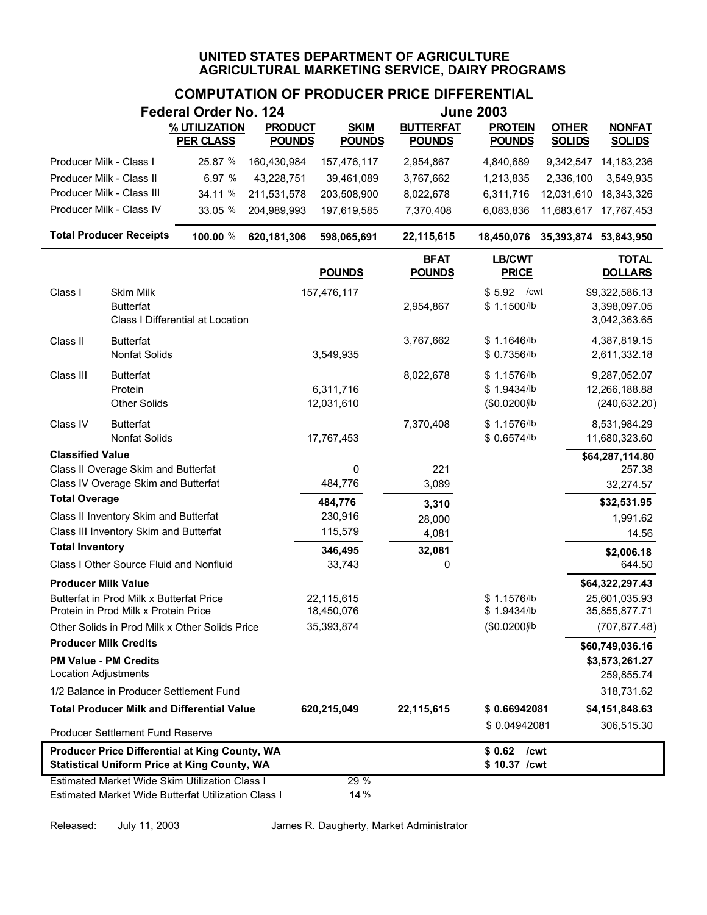# **COMPUTATION OF PRODUCER PRICE DIFFERENTIAL**

|                                                                                                       |                                                                                  | Federal Order No. 124                                                                                 |                                 |                              |                                   | <b>June 2003</b>                                      |                               |                                                |
|-------------------------------------------------------------------------------------------------------|----------------------------------------------------------------------------------|-------------------------------------------------------------------------------------------------------|---------------------------------|------------------------------|-----------------------------------|-------------------------------------------------------|-------------------------------|------------------------------------------------|
|                                                                                                       |                                                                                  | % UTILIZATION<br><b>PER CLASS</b>                                                                     | <b>PRODUCT</b><br><b>POUNDS</b> | <b>SKIM</b><br><b>POUNDS</b> | <b>BUTTERFAT</b><br><b>POUNDS</b> | <b>PROTEIN</b><br><b>POUNDS</b>                       | <b>OTHER</b><br><b>SOLIDS</b> | <b>NONFAT</b><br><b>SOLIDS</b>                 |
| Producer Milk - Class I                                                                               |                                                                                  | 25.87 %                                                                                               | 160,430,984                     | 157,476,117                  | 2,954,867                         | 4,840,689                                             | 9,342,547                     | 14,183,236                                     |
| Producer Milk - Class II                                                                              |                                                                                  | 6.97 %                                                                                                | 43,228,751                      | 39,461,089                   | 3,767,662                         | 1,213,835                                             | 2,336,100                     | 3,549,935                                      |
| Producer Milk - Class III                                                                             |                                                                                  | 34.11 %                                                                                               | 211,531,578                     | 203,508,900                  | 8,022,678                         | 6,311,716                                             | 12,031,610                    | 18,343,326                                     |
|                                                                                                       | Producer Milk - Class IV                                                         | 33.05 %                                                                                               | 204,989,993                     | 197,619,585                  | 7,370,408                         | 6,083,836                                             | 11,683,617                    | 17,767,453                                     |
|                                                                                                       | <b>Total Producer Receipts</b>                                                   | 100.00 %                                                                                              | 620,181,306                     | 598,065,691                  | 22,115,615                        | 18,450,076                                            | 35,393,874 53,843,950         |                                                |
|                                                                                                       |                                                                                  |                                                                                                       |                                 | <b>POUNDS</b>                | <b>BFAT</b><br><b>POUNDS</b>      | <b>LB/CWT</b><br><b>PRICE</b>                         |                               | <b>TOTAL</b><br><b>DOLLARS</b>                 |
| Class I                                                                                               | Skim Milk<br><b>Butterfat</b>                                                    | Class I Differential at Location                                                                      |                                 | 157,476,117                  | 2,954,867                         | \$5.92<br>/cwt<br>\$1.1500/lb                         |                               | \$9,322,586.13<br>3,398,097.05<br>3,042,363.65 |
| Class II                                                                                              | <b>Butterfat</b><br><b>Nonfat Solids</b>                                         |                                                                                                       |                                 | 3,549,935                    | 3,767,662                         | \$1.1646/lb<br>\$0.7356/lb                            |                               | 4,387,819.15<br>2,611,332.18                   |
| Class III                                                                                             | <b>Butterfat</b><br>Protein<br><b>Other Solids</b>                               |                                                                                                       |                                 | 6,311,716<br>12,031,610      | 8,022,678                         | \$1.1576/lb<br>\$1.9434/b<br>(\$0.0200) <sup>Ib</sup> |                               | 9,287,052.07<br>12,266,188.88<br>(240, 632.20) |
| Class IV                                                                                              | <b>Butterfat</b><br><b>Nonfat Solids</b>                                         |                                                                                                       |                                 | 17,767,453                   | 7,370,408                         | \$1.1576/lb<br>\$0.6574/lb                            |                               | 8,531,984.29<br>11,680,323.60                  |
| <b>Classified Value</b>                                                                               |                                                                                  |                                                                                                       |                                 |                              |                                   |                                                       |                               | \$64,287,114.80                                |
|                                                                                                       | Class II Overage Skim and Butterfat<br>Class IV Overage Skim and Butterfat       |                                                                                                       |                                 | 0<br>484,776                 | 221<br>3,089                      |                                                       |                               | 257.38<br>32,274.57                            |
| <b>Total Overage</b>                                                                                  |                                                                                  |                                                                                                       |                                 | 484,776                      | 3,310                             |                                                       |                               | \$32,531.95                                    |
|                                                                                                       | Class II Inventory Skim and Butterfat                                            |                                                                                                       |                                 | 230,916                      | 28,000                            |                                                       |                               | 1,991.62                                       |
|                                                                                                       | Class III Inventory Skim and Butterfat                                           |                                                                                                       |                                 | 115,579                      | 4,081                             |                                                       |                               | 14.56                                          |
| <b>Total Inventory</b>                                                                                |                                                                                  |                                                                                                       |                                 | 346,495                      | 32,081                            |                                                       |                               | \$2,006.18                                     |
|                                                                                                       | Class I Other Source Fluid and Nonfluid                                          |                                                                                                       |                                 | 33,743                       | 0                                 |                                                       |                               | 644.50                                         |
| <b>Producer Milk Value</b>                                                                            |                                                                                  |                                                                                                       |                                 |                              |                                   |                                                       |                               | \$64,322,297.43                                |
|                                                                                                       | Butterfat in Prod Milk x Butterfat Price<br>Protein in Prod Milk x Protein Price |                                                                                                       |                                 | 22,115,615<br>18,450,076     |                                   | \$1.1576/lb<br>\$1.9434/lb                            |                               | 25,601,035.93<br>35,855,877.71                 |
|                                                                                                       |                                                                                  | Other Solids in Prod Milk x Other Solids Price                                                        |                                 | 35,393,874                   |                                   | (\$0.0200) <sup>Ib</sup>                              |                               | (707, 877.48)                                  |
| <b>Producer Milk Credits</b>                                                                          |                                                                                  |                                                                                                       |                                 |                              |                                   |                                                       |                               | \$60,749,036.16                                |
| <b>PM Value - PM Credits</b><br><b>Location Adjustments</b>                                           |                                                                                  |                                                                                                       |                                 |                              |                                   |                                                       |                               | \$3,573,261.27<br>259,855.74                   |
|                                                                                                       | 1/2 Balance in Producer Settlement Fund                                          |                                                                                                       |                                 |                              |                                   |                                                       |                               | 318,731.62                                     |
|                                                                                                       |                                                                                  | <b>Total Producer Milk and Differential Value</b>                                                     |                                 | 620,215,049                  | 22,115,615                        | \$0.66942081                                          |                               | \$4,151,848.63                                 |
|                                                                                                       | <b>Producer Settlement Fund Reserve</b>                                          |                                                                                                       |                                 |                              |                                   | \$0.04942081                                          |                               | 306,515.30                                     |
| Producer Price Differential at King County, WA<br><b>Statistical Uniform Price at King County, WA</b> |                                                                                  |                                                                                                       |                                 |                              |                                   | \$0.62<br>/cwt<br>\$10.37 /cwt                        |                               |                                                |
|                                                                                                       |                                                                                  | Estimated Market Wide Skim Utilization Class I<br>Estimated Market Wide Butterfat Utilization Class I |                                 | 29 %<br>14%                  |                                   |                                                       |                               |                                                |

Released: July 11, 2003 James R. Daugherty, Market Administrator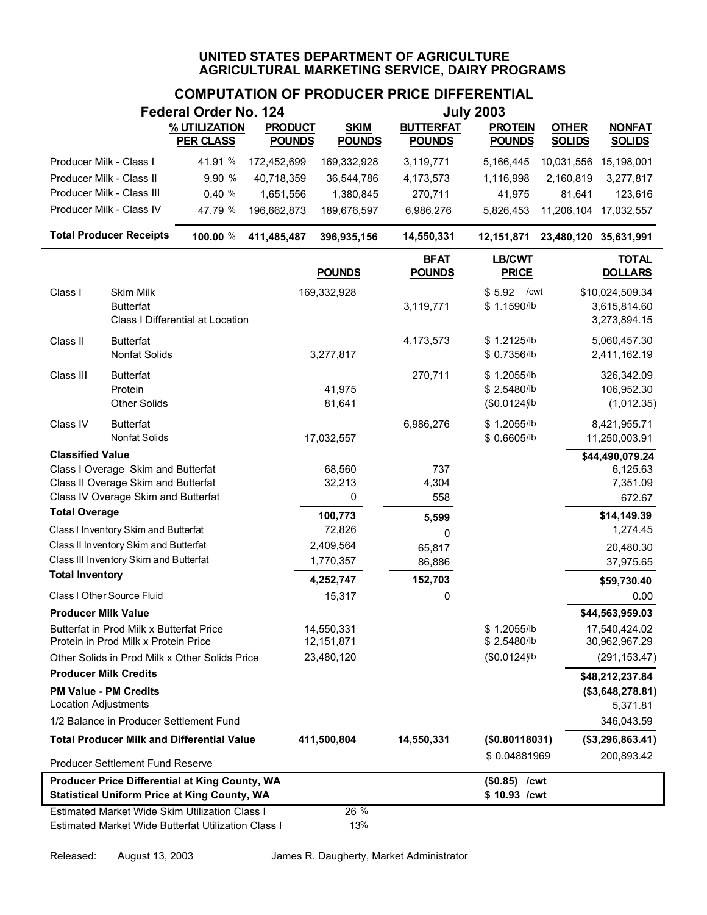| <b>July 2003</b><br>Federal Order No. 124                   |                                                                                  |                                                                                                              |                |                            |                              |                                           |                                                 |
|-------------------------------------------------------------|----------------------------------------------------------------------------------|--------------------------------------------------------------------------------------------------------------|----------------|----------------------------|------------------------------|-------------------------------------------|-------------------------------------------------|
|                                                             |                                                                                  | % UTILIZATION                                                                                                | <b>PRODUCT</b> | <b>SKIM</b>                | <b>BUTTERFAT</b>             | <b>PROTEIN</b>                            | <b>OTHER</b><br><b>NONFAT</b>                   |
|                                                             |                                                                                  | <b>PER CLASS</b>                                                                                             | <b>POUNDS</b>  | <b>POUNDS</b>              | <b>POUNDS</b>                | <b>POUNDS</b>                             | <b>SOLIDS</b><br><b>SOLIDS</b>                  |
| Producer Milk - Class I                                     |                                                                                  | 41.91 %                                                                                                      | 172,452,699    | 169,332,928                | 3,119,771                    | 5,166,445                                 | 10,031,556 15,198,001                           |
| Producer Milk - Class II                                    |                                                                                  | 9.90 %                                                                                                       | 40,718,359     | 36,544,786                 | 4,173,573                    | 1,116,998                                 | 2,160,819<br>3,277,817                          |
|                                                             | Producer Milk - Class III                                                        | 0.40%                                                                                                        | 1,651,556      | 1,380,845                  | 270,711                      | 41,975                                    | 81,641<br>123,616                               |
|                                                             | Producer Milk - Class IV                                                         | 47.79 %                                                                                                      | 196,662,873    | 189,676,597                | 6,986,276                    | 5,826,453                                 | 11,206,104 17,032,557                           |
|                                                             | <b>Total Producer Receipts</b>                                                   | 100.00 %                                                                                                     | 411,485,487    | 396,935,156                | 14,550,331                   | 12,151,871                                | 23,480,120 35,631,991                           |
|                                                             |                                                                                  |                                                                                                              |                | <b>POUNDS</b>              | <b>BFAT</b><br><b>POUNDS</b> | LB/CWT<br><b>PRICE</b>                    | <b>TOTAL</b><br><b>DOLLARS</b>                  |
| Class I                                                     | Skim Milk<br><b>Butterfat</b>                                                    | Class I Differential at Location                                                                             |                | 169,332,928                | 3,119,771                    | \$5.92<br>/cwt<br>\$1.1590/lb             | \$10,024,509.34<br>3,615,814.60<br>3,273,894.15 |
| Class II                                                    | <b>Butterfat</b><br>Nonfat Solids                                                |                                                                                                              |                | 3,277,817                  | 4,173,573                    | \$1.2125/lb<br>\$0.7356/lb                | 5,060,457.30<br>2,411,162.19                    |
| Class III                                                   | <b>Butterfat</b><br>Protein<br><b>Other Solids</b>                               |                                                                                                              |                | 41,975<br>81,641           | 270,711                      | \$1.2055/lb<br>\$2.5480/lb<br>(\$0.0124)b | 326,342.09<br>106,952.30<br>(1,012.35)          |
| Class IV                                                    | <b>Butterfat</b><br>Nonfat Solids                                                |                                                                                                              |                | 17,032,557                 | 6,986,276                    | \$1.2055/lb<br>\$0.6605/lb                | 8,421,955.71<br>11,250,003.91                   |
| <b>Classified Value</b>                                     |                                                                                  |                                                                                                              |                |                            |                              |                                           | \$44,490,079.24                                 |
|                                                             | Class I Overage Skim and Butterfat                                               |                                                                                                              |                | 68,560                     | 737                          |                                           | 6,125.63                                        |
|                                                             | Class II Overage Skim and Butterfat<br>Class IV Overage Skim and Butterfat       |                                                                                                              |                | 32,213<br>0                | 4,304<br>558                 |                                           | 7,351.09<br>672.67                              |
| <b>Total Overage</b>                                        |                                                                                  |                                                                                                              |                | 100,773                    |                              |                                           | \$14,149.39                                     |
|                                                             | Class I Inventory Skim and Butterfat                                             |                                                                                                              |                | 72,826                     | 5,599<br>0                   |                                           | 1,274.45                                        |
|                                                             | Class II Inventory Skim and Butterfat                                            |                                                                                                              |                | 2,409,564                  | 65,817                       |                                           | 20,480.30                                       |
|                                                             | Class III Inventory Skim and Butterfat                                           |                                                                                                              |                | 1,770,357                  | 86,886                       |                                           | 37,975.65                                       |
| <b>Total Inventory</b>                                      |                                                                                  |                                                                                                              |                | 4,252,747                  | 152,703                      |                                           | \$59,730.40                                     |
|                                                             | Class I Other Source Fluid                                                       |                                                                                                              |                | 15,317                     | 0                            |                                           | 0.00                                            |
| <b>Producer Milk Value</b>                                  |                                                                                  |                                                                                                              |                |                            |                              |                                           | \$44,563,959.03                                 |
|                                                             | Butterfat in Prod Milk x Butterfat Price<br>Protein in Prod Milk x Protein Price |                                                                                                              |                | 14,550,331<br>12, 151, 871 |                              | \$1.2055/lb<br>\$2.5480/lb                | 17,540,424.02<br>30,962,967.29                  |
|                                                             |                                                                                  | Other Solids in Prod Milk x Other Solids Price                                                               |                | 23,480,120                 |                              | (\$0.0124) b                              | (291, 153.47)                                   |
| <b>Producer Milk Credits</b>                                |                                                                                  |                                                                                                              |                |                            |                              |                                           |                                                 |
| <b>PM Value - PM Credits</b><br><b>Location Adjustments</b> |                                                                                  |                                                                                                              |                |                            |                              |                                           | \$48,212,237.84<br>(\$3,648,278.81)<br>5,371.81 |
|                                                             | 1/2 Balance in Producer Settlement Fund                                          |                                                                                                              |                |                            |                              |                                           | 346,043.59                                      |
|                                                             |                                                                                  | <b>Total Producer Milk and Differential Value</b>                                                            |                | 411,500,804                | 14,550,331                   | (\$0.80118031)                            | (\$3,296,863.41)                                |
|                                                             | Producer Settlement Fund Reserve                                                 |                                                                                                              |                |                            |                              | \$0.04881969                              | 200,893.42                                      |
|                                                             |                                                                                  | <b>Producer Price Differential at King County, WA</b><br><b>Statistical Uniform Price at King County, WA</b> |                |                            |                              | $($0.85)$ /cwt<br>\$10.93 /cwt            |                                                 |
|                                                             |                                                                                  | Estimated Market Wide Skim Utilization Class I<br>Estimated Market Wide Butterfat Utilization Class I        |                | 26 %<br>13%                |                              |                                           |                                                 |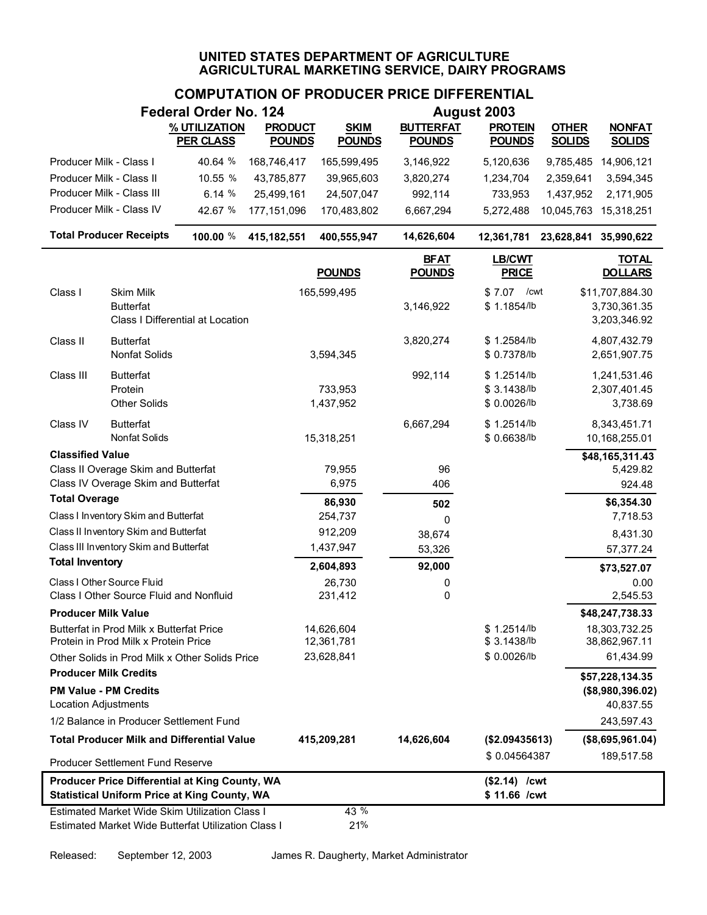|                                                             |                                                                                 | <b>Federal Order No. 124</b>                                                                          |                                 |                              |                                   | August 2003                               |                               |                                                  |
|-------------------------------------------------------------|---------------------------------------------------------------------------------|-------------------------------------------------------------------------------------------------------|---------------------------------|------------------------------|-----------------------------------|-------------------------------------------|-------------------------------|--------------------------------------------------|
|                                                             |                                                                                 | % UTILIZATION<br><b>PER CLASS</b>                                                                     | <b>PRODUCT</b><br><b>POUNDS</b> | <b>SKIM</b><br><b>POUNDS</b> | <b>BUTTERFAT</b><br><b>POUNDS</b> | <b>PROTEIN</b><br><b>POUNDS</b>           | <b>OTHER</b><br><b>SOLIDS</b> | <b>NONFAT</b><br><b>SOLIDS</b>                   |
| Producer Milk - Class I                                     |                                                                                 | 40.64 %                                                                                               | 168,746,417                     | 165,599,495                  | 3,146,922                         | 5,120,636                                 | 9,785,485                     | 14,906,121                                       |
| Producer Milk - Class II                                    |                                                                                 | 10.55 %                                                                                               | 43,785,877                      | 39,965,603                   | 3,820,274                         | 1,234,704                                 | 2,359,641                     | 3,594,345                                        |
|                                                             | Producer Milk - Class III                                                       | 6.14 %                                                                                                | 25,499,161                      | 24,507,047                   | 992,114                           | 733,953                                   | 1,437,952                     | 2,171,905                                        |
|                                                             | Producer Milk - Class IV                                                        | 42.67 %                                                                                               | 177, 151, 096                   | 170,483,802                  | 6,667,294                         | 5,272,488                                 | 10,045,763                    | 15,318,251                                       |
|                                                             | <b>Total Producer Receipts</b>                                                  | 100.00 %                                                                                              | 415,182,551                     | 400,555,947                  | 14,626,604                        | 12,361,781                                | 23,628,841 35,990,622         |                                                  |
|                                                             |                                                                                 |                                                                                                       |                                 | <b>POUNDS</b>                | <b>BFAT</b><br><b>POUNDS</b>      | <b>LB/CWT</b><br><b>PRICE</b>             |                               | <b>TOTAL</b><br><b>DOLLARS</b>                   |
| Class I                                                     | Skim Milk<br><b>Butterfat</b>                                                   | Class I Differential at Location                                                                      |                                 | 165,599,495                  | 3,146,922                         | \$7.07<br>/cwt<br>\$1.1854/lb             |                               | \$11,707,884.30<br>3,730,361.35<br>3,203,346.92  |
| Class II                                                    | <b>Butterfat</b><br>Nonfat Solids                                               |                                                                                                       |                                 | 3,594,345                    | 3,820,274                         | \$1.2584/lb<br>\$ 0.7378/lb               |                               | 4,807,432.79<br>2,651,907.75                     |
| Class III                                                   | <b>Butterfat</b><br>Protein<br><b>Other Solids</b>                              |                                                                                                       |                                 | 733,953<br>1,437,952         | 992,114                           | \$1.2514/lb<br>\$3.1438/lb<br>\$0.0026/lb |                               | 1,241,531.46<br>2,307,401.45<br>3,738.69         |
| Class IV                                                    | <b>Butterfat</b><br>Nonfat Solids                                               |                                                                                                       |                                 | 15,318,251                   | 6,667,294                         | \$1.2514/b<br>\$0.6638/lb                 |                               | 8,343,451.71<br>10,168,255.01                    |
| <b>Classified Value</b>                                     |                                                                                 |                                                                                                       |                                 |                              |                                   |                                           |                               | \$48,165,311.43                                  |
|                                                             | Class II Overage Skim and Butterfat                                             |                                                                                                       |                                 | 79,955                       | 96                                |                                           |                               | 5,429.82                                         |
|                                                             | Class IV Overage Skim and Butterfat                                             |                                                                                                       |                                 | 6,975                        | 406                               |                                           |                               | 924.48                                           |
| <b>Total Overage</b>                                        |                                                                                 |                                                                                                       |                                 | 86,930                       | 502                               |                                           |                               | \$6,354.30                                       |
|                                                             | Class I Inventory Skim and Butterfat                                            |                                                                                                       |                                 | 254,737                      | 0                                 |                                           |                               | 7,718.53                                         |
|                                                             | Class II Inventory Skim and Butterfat<br>Class III Inventory Skim and Butterfat |                                                                                                       |                                 | 912,209<br>1,437,947         | 38,674                            |                                           |                               | 8,431.30                                         |
| <b>Total Inventory</b>                                      |                                                                                 |                                                                                                       |                                 |                              | 53,326                            |                                           |                               | 57,377.24                                        |
|                                                             | Class I Other Source Fluid                                                      |                                                                                                       |                                 | 2,604,893                    | 92,000                            |                                           |                               | \$73,527.07                                      |
|                                                             | Class I Other Source Fluid and Nonfluid                                         |                                                                                                       |                                 | 26,730<br>231,412            | 0<br>0                            |                                           |                               | 0.00<br>2,545.53                                 |
| <b>Producer Milk Value</b>                                  |                                                                                 |                                                                                                       |                                 |                              |                                   |                                           |                               | \$48,247,738.33                                  |
|                                                             | Butterfat in Prod Milk x Butterfat Price                                        |                                                                                                       |                                 | 14,626,604                   |                                   | \$1.2514/b                                |                               | 18,303,732.25                                    |
|                                                             | Protein in Prod Milk x Protein Price                                            |                                                                                                       |                                 | 12,361,781                   |                                   | \$3.1438/lb                               |                               | 38,862,967.11                                    |
|                                                             |                                                                                 | Other Solids in Prod Milk x Other Solids Price                                                        |                                 | 23,628,841                   |                                   | \$0.0026/lb                               |                               | 61,434.99                                        |
| <b>Producer Milk Credits</b><br><b>Location Adjustments</b> | <b>PM Value - PM Credits</b>                                                    |                                                                                                       |                                 |                              |                                   |                                           |                               | \$57,228,134.35<br>(\$8,980,396.02)<br>40,837.55 |
|                                                             | 1/2 Balance in Producer Settlement Fund                                         |                                                                                                       |                                 |                              |                                   |                                           |                               | 243,597.43                                       |
|                                                             |                                                                                 | <b>Total Producer Milk and Differential Value</b>                                                     |                                 | 415,209,281                  | 14,626,604                        | (\$2.09435613)                            |                               | (\$8,695,961.04)                                 |
|                                                             | Producer Settlement Fund Reserve                                                |                                                                                                       |                                 |                              |                                   | \$0.04564387                              |                               | 189,517.58                                       |
|                                                             |                                                                                 | Producer Price Differential at King County, WA<br><b>Statistical Uniform Price at King County, WA</b> |                                 |                              |                                   | $($2.14)$ /cwt<br>\$11.66 /cwt            |                               |                                                  |
|                                                             |                                                                                 | Estimated Market Wide Skim Utilization Class I<br>Estimated Market Wide Butterfat Utilization Class I |                                 | 43 %<br>21%                  |                                   |                                           |                               |                                                  |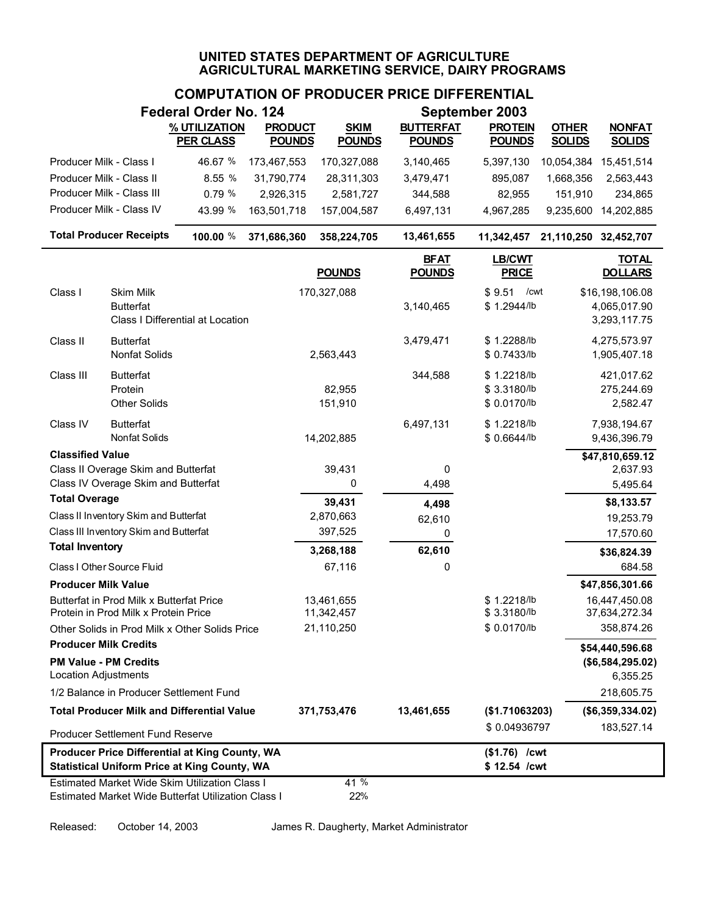### **COMPUTATION OF PRODUCER PRICE DIFFERENTIAL**

|                              |                                                                            | <b>Federal Order No. 124</b>                                                                                 |                |               |                              | September 2003                |            | <b>OTHER</b><br><b>NONFAT</b><br><b>SOLIDS</b><br><b>SOLIDS</b><br>15,451,514<br>1,668,356<br>2,563,443<br>151,910<br>234,865<br>9,235,600<br>14,202,885<br>11,342,457 21,110,250 32,452,707<br><b>TOTAL</b><br><b>DOLLARS</b><br>\$16,198,106.08<br>4,065,017.90<br>3,293,117.75<br>4,275,573.97<br>1,905,407.18<br>421,017.62<br>275,244.69<br>2,582.47<br>7,938,194.67<br>9,436,396.79<br>\$47,810,659.12<br>2,637.93<br>5,495.64<br>\$8,133.57<br>19,253.79<br>17,570.60 |  |  |  |
|------------------------------|----------------------------------------------------------------------------|--------------------------------------------------------------------------------------------------------------|----------------|---------------|------------------------------|-------------------------------|------------|------------------------------------------------------------------------------------------------------------------------------------------------------------------------------------------------------------------------------------------------------------------------------------------------------------------------------------------------------------------------------------------------------------------------------------------------------------------------------|--|--|--|
|                              |                                                                            | % UTILIZATION                                                                                                | <b>PRODUCT</b> | <b>SKIM</b>   | <b>BUTTERFAT</b>             | <b>PROTEIN</b>                |            |                                                                                                                                                                                                                                                                                                                                                                                                                                                                              |  |  |  |
|                              |                                                                            | <b>PER CLASS</b>                                                                                             | <b>POUNDS</b>  | <b>POUNDS</b> | <b>POUNDS</b>                | <b>POUNDS</b>                 |            |                                                                                                                                                                                                                                                                                                                                                                                                                                                                              |  |  |  |
| Producer Milk - Class I      |                                                                            | 46.67 %                                                                                                      | 173,467,553    | 170,327,088   | 3,140,465                    | 5,397,130                     | 10,054,384 |                                                                                                                                                                                                                                                                                                                                                                                                                                                                              |  |  |  |
| Producer Milk - Class II     |                                                                            | 8.55 %                                                                                                       | 31,790,774     | 28,311,303    | 3,479,471                    | 895,087                       |            |                                                                                                                                                                                                                                                                                                                                                                                                                                                                              |  |  |  |
|                              | Producer Milk - Class III                                                  | 0.79 %                                                                                                       | 2,926,315      | 2,581,727     | 344,588                      | 82,955                        |            |                                                                                                                                                                                                                                                                                                                                                                                                                                                                              |  |  |  |
|                              | Producer Milk - Class IV                                                   | 43.99 %                                                                                                      | 163,501,718    | 157,004,587   | 6,497,131                    | 4,967,285                     |            |                                                                                                                                                                                                                                                                                                                                                                                                                                                                              |  |  |  |
|                              | <b>Total Producer Receipts</b>                                             | 100.00 %                                                                                                     | 371,686,360    | 358,224,705   | 13,461,655                   |                               |            |                                                                                                                                                                                                                                                                                                                                                                                                                                                                              |  |  |  |
|                              |                                                                            |                                                                                                              |                | <b>POUNDS</b> | <b>BFAT</b><br><b>POUNDS</b> | LB/CWT<br><b>PRICE</b>        |            |                                                                                                                                                                                                                                                                                                                                                                                                                                                                              |  |  |  |
| Class I                      | Skim Milk                                                                  |                                                                                                              |                | 170,327,088   |                              | \$9.51<br>/cwt                |            |                                                                                                                                                                                                                                                                                                                                                                                                                                                                              |  |  |  |
|                              | <b>Butterfat</b>                                                           |                                                                                                              |                |               | 3,140,465                    | \$1.2944/lb                   |            |                                                                                                                                                                                                                                                                                                                                                                                                                                                                              |  |  |  |
|                              |                                                                            | Class I Differential at Location                                                                             |                |               |                              |                               |            |                                                                                                                                                                                                                                                                                                                                                                                                                                                                              |  |  |  |
| Class II                     | <b>Butterfat</b>                                                           |                                                                                                              |                |               | 3,479,471                    | \$1.2288/lb                   |            |                                                                                                                                                                                                                                                                                                                                                                                                                                                                              |  |  |  |
|                              | Nonfat Solids                                                              |                                                                                                              |                | 2,563,443     |                              | \$ 0.7433/lb                  |            |                                                                                                                                                                                                                                                                                                                                                                                                                                                                              |  |  |  |
| Class III                    | <b>Butterfat</b>                                                           |                                                                                                              |                |               | 344,588                      | \$1.2218/lb                   |            |                                                                                                                                                                                                                                                                                                                                                                                                                                                                              |  |  |  |
|                              | Protein                                                                    |                                                                                                              |                | 82,955        |                              | \$3.3180/lb                   |            |                                                                                                                                                                                                                                                                                                                                                                                                                                                                              |  |  |  |
|                              | <b>Other Solids</b>                                                        |                                                                                                              |                | 151,910       |                              | \$ 0.0170/lb                  |            |                                                                                                                                                                                                                                                                                                                                                                                                                                                                              |  |  |  |
| Class IV                     | <b>Butterfat</b>                                                           |                                                                                                              |                |               | 6,497,131                    | \$1.2218/lb                   |            |                                                                                                                                                                                                                                                                                                                                                                                                                                                                              |  |  |  |
|                              | Nonfat Solids                                                              |                                                                                                              |                | 14,202,885    |                              | \$0.6644/lb                   |            |                                                                                                                                                                                                                                                                                                                                                                                                                                                                              |  |  |  |
| <b>Classified Value</b>      |                                                                            |                                                                                                              |                |               |                              |                               |            |                                                                                                                                                                                                                                                                                                                                                                                                                                                                              |  |  |  |
|                              | Class II Overage Skim and Butterfat<br>Class IV Overage Skim and Butterfat |                                                                                                              |                | 39,431<br>0   | 0<br>4,498                   |                               |            |                                                                                                                                                                                                                                                                                                                                                                                                                                                                              |  |  |  |
| <b>Total Overage</b>         |                                                                            |                                                                                                              |                | 39,431        |                              |                               |            |                                                                                                                                                                                                                                                                                                                                                                                                                                                                              |  |  |  |
|                              | Class II Inventory Skim and Butterfat                                      |                                                                                                              |                | 2,870,663     | 4,498<br>62,610              |                               |            |                                                                                                                                                                                                                                                                                                                                                                                                                                                                              |  |  |  |
|                              | Class III Inventory Skim and Butterfat                                     |                                                                                                              |                | 397,525       | 0                            |                               |            |                                                                                                                                                                                                                                                                                                                                                                                                                                                                              |  |  |  |
| <b>Total Inventory</b>       |                                                                            |                                                                                                              |                | 3,268,188     | 62,610                       |                               |            | \$36,824.39                                                                                                                                                                                                                                                                                                                                                                                                                                                                  |  |  |  |
|                              | Class I Other Source Fluid                                                 |                                                                                                              |                | 67,116        | 0                            |                               |            | 684.58                                                                                                                                                                                                                                                                                                                                                                                                                                                                       |  |  |  |
| <b>Producer Milk Value</b>   |                                                                            |                                                                                                              |                |               |                              |                               |            | \$47,856,301.66                                                                                                                                                                                                                                                                                                                                                                                                                                                              |  |  |  |
|                              | Butterfat in Prod Milk x Butterfat Price                                   |                                                                                                              |                | 13,461,655    |                              | \$1.2218/lb                   |            | 16,447,450.08                                                                                                                                                                                                                                                                                                                                                                                                                                                                |  |  |  |
|                              | Protein in Prod Milk x Protein Price                                       |                                                                                                              |                | 11,342,457    |                              | \$3.3180/lb                   |            | 37,634,272.34                                                                                                                                                                                                                                                                                                                                                                                                                                                                |  |  |  |
|                              |                                                                            | Other Solids in Prod Milk x Other Solids Price                                                               |                | 21,110,250    |                              | \$0.0170/lb                   |            | 358,874.26                                                                                                                                                                                                                                                                                                                                                                                                                                                                   |  |  |  |
| <b>Producer Milk Credits</b> |                                                                            |                                                                                                              |                |               |                              |                               |            | \$54,440,596.68                                                                                                                                                                                                                                                                                                                                                                                                                                                              |  |  |  |
|                              | <b>PM Value - PM Credits</b>                                               |                                                                                                              |                |               |                              |                               |            | (\$6,584,295.02)                                                                                                                                                                                                                                                                                                                                                                                                                                                             |  |  |  |
| <b>Location Adjustments</b>  |                                                                            |                                                                                                              |                |               |                              |                               |            | 6,355.25                                                                                                                                                                                                                                                                                                                                                                                                                                                                     |  |  |  |
|                              | 1/2 Balance in Producer Settlement Fund                                    |                                                                                                              |                |               |                              |                               |            | 218,605.75                                                                                                                                                                                                                                                                                                                                                                                                                                                                   |  |  |  |
|                              |                                                                            | <b>Total Producer Milk and Differential Value</b>                                                            |                | 371,753,476   | 13,461,655                   | (\$1.71063203)                |            | (\$6,359,334.02)                                                                                                                                                                                                                                                                                                                                                                                                                                                             |  |  |  |
|                              | <b>Producer Settlement Fund Reserve</b>                                    |                                                                                                              |                |               |                              | \$0.04936797                  |            | 183,527.14                                                                                                                                                                                                                                                                                                                                                                                                                                                                   |  |  |  |
|                              |                                                                            | <b>Producer Price Differential at King County, WA</b><br><b>Statistical Uniform Price at King County, WA</b> |                |               |                              | (\$1.76) /cwt<br>\$12.54 /cwt |            |                                                                                                                                                                                                                                                                                                                                                                                                                                                                              |  |  |  |
|                              |                                                                            | <b>Estimated Market Wide Skim Utilization Class I</b>                                                        |                | 41 %          |                              |                               |            |                                                                                                                                                                                                                                                                                                                                                                                                                                                                              |  |  |  |
|                              |                                                                            | Estimated Market Wide Butterfat Utilization Class I                                                          |                | 22%           |                              |                               |            |                                                                                                                                                                                                                                                                                                                                                                                                                                                                              |  |  |  |

Released: October 14, 2003 James R. Daugherty, Market Administrator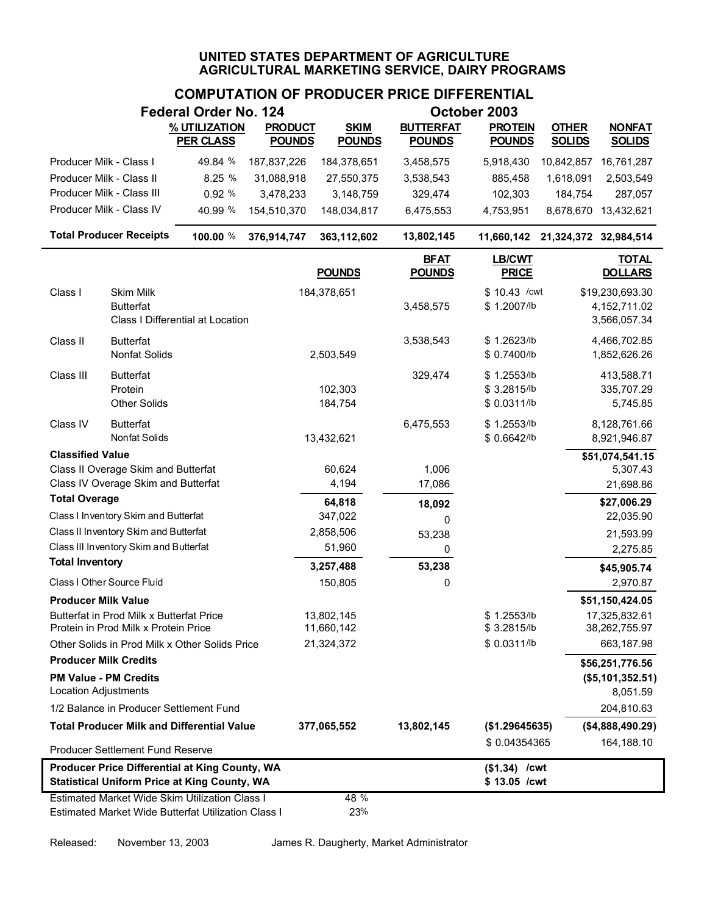|                              |                                                                                                       | <b>Federal Order No. 124</b>     |                |                          |                              | October 2003                               |                       |                                                   |
|------------------------------|-------------------------------------------------------------------------------------------------------|----------------------------------|----------------|--------------------------|------------------------------|--------------------------------------------|-----------------------|---------------------------------------------------|
|                              |                                                                                                       | % UTILIZATION                    | <b>PRODUCT</b> | <b>SKIM</b>              | <b>BUTTERFAT</b>             | <b>PROTEIN</b>                             | <b>OTHER</b>          | <b>NONFAT</b>                                     |
|                              |                                                                                                       | <b>PER CLASS</b>                 | <b>POUNDS</b>  | <b>POUNDS</b>            | <b>POUNDS</b>                | <b>POUNDS</b>                              | <b>SOLIDS</b>         | <b>SOLIDS</b>                                     |
| Producer Milk - Class I      |                                                                                                       | 49.84 %                          | 187,837,226    | 184,378,651              | 3,458,575                    | 5,918,430                                  | 10,842,857            | 16,761,287                                        |
| Producer Milk - Class II     |                                                                                                       | 8.25 %                           | 31,088,918     | 27,550,375               | 3,538,543                    | 885,458                                    | 1,618,091             | 2,503,549                                         |
|                              | Producer Milk - Class III                                                                             | 0.92 %                           | 3,478,233      | 3,148,759                | 329,474                      | 102,303                                    | 184,754               | 287,057                                           |
|                              | Producer Milk - Class IV                                                                              | 40.99 %                          | 154,510,370    | 148,034,817              | 6,475,553                    | 4,753,951                                  |                       | 8,678,670 13,432,621                              |
|                              | <b>Total Producer Receipts</b>                                                                        | 100.00 %                         | 376,914,747    | 363,112,602              | 13,802,145                   | 11,660,142                                 | 21,324,372 32,984,514 |                                                   |
|                              |                                                                                                       |                                  |                | <b>POUNDS</b>            | <b>BFAT</b><br><b>POUNDS</b> | LB/CWT<br><b>PRICE</b>                     |                       | <b>TOTAL</b><br><b>DOLLARS</b>                    |
| Class I                      | <b>Skim Milk</b><br><b>Butterfat</b>                                                                  | Class I Differential at Location |                | 184,378,651              | 3,458,575                    | \$10.43 / cwt<br>\$1.2007/lb               |                       | \$19,230,693.30<br>4, 152, 711.02<br>3,566,057.34 |
| Class II                     | <b>Butterfat</b><br>Nonfat Solids                                                                     |                                  |                | 2,503,549                | 3,538,543                    | \$1.2623/lb<br>\$ 0.7400/lb                |                       | 4,466,702.85<br>1,852,626.26                      |
| Class III                    | <b>Butterfat</b><br>Protein<br><b>Other Solids</b>                                                    |                                  |                | 102,303<br>184,754       | 329,474                      | \$1.2553/lb<br>\$3.2815/lb<br>\$ 0.0311/lb |                       | 413,588.71<br>335,707.29<br>5,745.85              |
| Class IV                     | <b>Butterfat</b><br>Nonfat Solids                                                                     |                                  |                | 13,432,621               | 6,475,553                    | \$1.2553/lb<br>\$0.6642/lb                 |                       | 8,128,761.66<br>8,921,946.87                      |
| <b>Classified Value</b>      |                                                                                                       |                                  |                |                          |                              |                                            |                       | \$51,074,541.15                                   |
|                              | Class II Overage Skim and Butterfat                                                                   |                                  |                | 60,624                   | 1,006                        |                                            |                       | 5,307.43                                          |
| <b>Total Overage</b>         | Class IV Overage Skim and Butterfat                                                                   |                                  |                | 4,194                    | 17,086                       |                                            |                       | 21,698.86                                         |
|                              | Class I Inventory Skim and Butterfat                                                                  |                                  |                | 64,818<br>347,022        | 18,092                       |                                            |                       | \$27,006.29<br>22,035.90                          |
|                              | Class II Inventory Skim and Butterfat                                                                 |                                  |                | 2,858,506                | 0                            |                                            |                       | 21,593.99                                         |
|                              | Class III Inventory Skim and Butterfat                                                                |                                  |                | 51,960                   | 53,238<br>0                  |                                            |                       | 2,275.85                                          |
| <b>Total Inventory</b>       |                                                                                                       |                                  |                | 3,257,488                | 53,238                       |                                            |                       | \$45,905.74                                       |
|                              | Class I Other Source Fluid                                                                            |                                  |                | 150,805                  | 0                            |                                            |                       | 2,970.87                                          |
| <b>Producer Milk Value</b>   |                                                                                                       |                                  |                |                          |                              |                                            |                       | \$51,150,424.05                                   |
|                              | Butterfat in Prod Milk x Butterfat Price<br>Protein in Prod Milk x Protein Price                      |                                  |                | 13,802,145<br>11,660,142 |                              | \$1.2553/b<br>\$3.2815/lb                  |                       | 17,325,832.61<br>38,262,755.97                    |
|                              | Other Solids in Prod Milk x Other Solids Price                                                        |                                  |                | 21,324,372               |                              | \$ 0.0311/lb                               |                       | 663,187.98                                        |
| <b>Producer Milk Credits</b> |                                                                                                       |                                  |                |                          |                              |                                            |                       | \$56,251,776.56                                   |
| Location Adjustments         | <b>PM Value - PM Credits</b>                                                                          |                                  |                |                          |                              |                                            |                       | (\$5,101,352.51)<br>8,051.59                      |
|                              | 1/2 Balance in Producer Settlement Fund                                                               |                                  |                |                          |                              |                                            |                       | 204,810.63                                        |
|                              | <b>Total Producer Milk and Differential Value</b>                                                     |                                  |                | 377,065,552              | 13,802,145                   | (\$1.29645635)                             |                       | (\$4,888,490.29)                                  |
|                              | Producer Settlement Fund Reserve                                                                      |                                  |                |                          |                              | \$0.04354365                               |                       | 164,188.10                                        |
|                              | Producer Price Differential at King County, WA<br><b>Statistical Uniform Price at King County, WA</b> |                                  |                |                          |                              | $($1.34)$ /cwt<br>\$13.05 /cwt             |                       |                                                   |
|                              | Estimated Market Wide Skim Utilization Class I<br>Estimated Market Wide Butterfat Utilization Class I |                                  |                | 48 %<br>23%              |                              |                                            |                       |                                                   |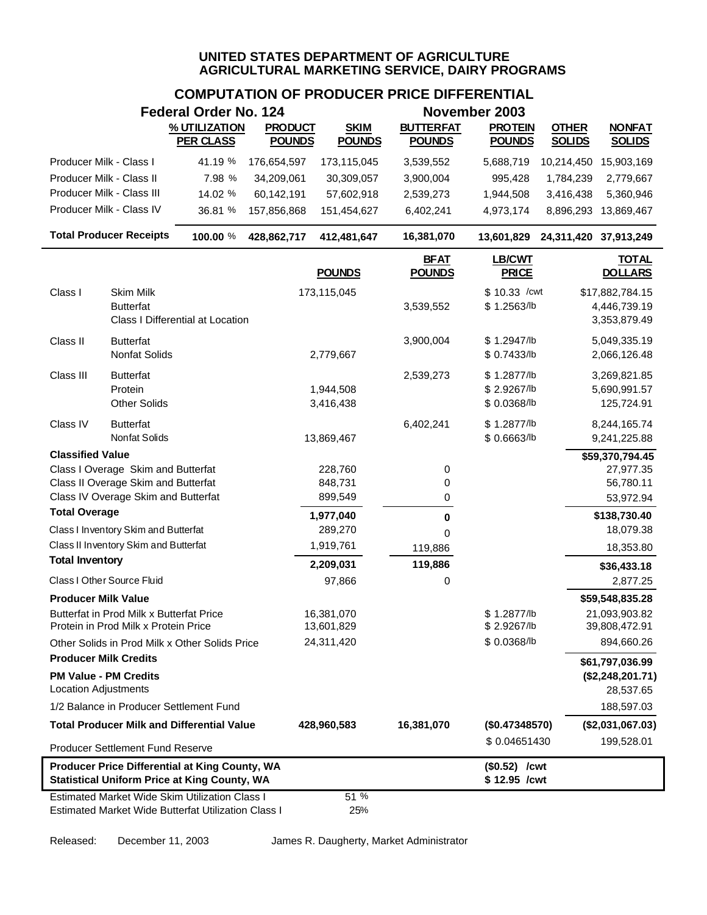# **COMPUTATION OF PRODUCER PRICE DIFFERENTIAL**

|                            |                                                                           | Federal Order No. 124                                                                                 |                                 |                              |                                   | November 2003                    |                               |                                |
|----------------------------|---------------------------------------------------------------------------|-------------------------------------------------------------------------------------------------------|---------------------------------|------------------------------|-----------------------------------|----------------------------------|-------------------------------|--------------------------------|
|                            |                                                                           | % UTILIZATION<br><b>PER CLASS</b>                                                                     | <b>PRODUCT</b><br><b>POUNDS</b> | <b>SKIM</b><br><b>POUNDS</b> | <b>BUTTERFAT</b><br><b>POUNDS</b> | <b>PROTEIN</b><br><b>POUNDS</b>  | <b>OTHER</b><br><b>SOLIDS</b> | <b>NONFAT</b><br><b>SOLIDS</b> |
| Producer Milk - Class I    |                                                                           | 41.19 %                                                                                               | 176,654,597                     | 173,115,045                  | 3,539,552                         | 5,688,719                        | 10,214,450                    | 15,903,169                     |
|                            | Producer Milk - Class II                                                  | 7.98 %                                                                                                | 34,209,061                      | 30,309,057                   | 3,900,004                         | 995,428                          | 1,784,239                     | 2,779,667                      |
|                            | Producer Milk - Class III                                                 | 14.02 %                                                                                               | 60,142,191                      | 57,602,918                   | 2,539,273                         | 1,944,508                        | 3,416,438                     | 5,360,946                      |
|                            | Producer Milk - Class IV                                                  | 36.81 %                                                                                               | 157,856,868                     | 151,454,627                  | 6,402,241                         | 4,973,174                        | 8,896,293                     | 13,869,467                     |
|                            | <b>Total Producer Receipts</b>                                            | 100.00 %                                                                                              | 428,862,717                     | 412,481,647                  | 16,381,070                        | 13,601,829 24,311,420 37,913,249 |                               |                                |
|                            |                                                                           |                                                                                                       |                                 | <b>POUNDS</b>                | <b>BFAT</b><br><b>POUNDS</b>      | <b>LB/CWT</b><br><b>PRICE</b>    |                               | <b>TOTAL</b><br><b>DOLLARS</b> |
| Class I                    | Skim Milk                                                                 |                                                                                                       |                                 | 173,115,045                  |                                   | $$10.33$ /cwt                    |                               | \$17,882,784.15                |
|                            | <b>Butterfat</b>                                                          |                                                                                                       |                                 |                              | 3,539,552                         | \$1.2563/lb                      |                               | 4,446,739.19                   |
|                            |                                                                           | Class I Differential at Location                                                                      |                                 |                              |                                   |                                  |                               | 3,353,879.49                   |
| Class II                   | <b>Butterfat</b>                                                          |                                                                                                       |                                 |                              | 3,900,004                         | \$1.2947/b                       |                               | 5,049,335.19                   |
|                            | <b>Nonfat Solids</b>                                                      |                                                                                                       |                                 | 2,779,667                    |                                   | \$ 0.7433/lb                     |                               | 2,066,126.48                   |
| Class III                  | <b>Butterfat</b>                                                          |                                                                                                       |                                 |                              | 2,539,273                         | \$1.2877/b                       |                               | 3,269,821.85                   |
|                            | Protein                                                                   |                                                                                                       |                                 | 1,944,508                    |                                   | \$2.9267/lb                      |                               | 5,690,991.57                   |
|                            | <b>Other Solids</b>                                                       |                                                                                                       |                                 | 3,416,438                    |                                   | \$0.0368/lb                      |                               | 125,724.91                     |
| Class IV                   | <b>Butterfat</b>                                                          |                                                                                                       |                                 |                              | 6,402,241                         | \$1.2877/b                       |                               | 8,244,165.74                   |
|                            | Nonfat Solids                                                             |                                                                                                       |                                 | 13,869,467                   |                                   | \$0.6663/lb                      |                               | 9,241,225.88                   |
| <b>Classified Value</b>    |                                                                           |                                                                                                       |                                 |                              |                                   |                                  |                               | \$59,370,794.45                |
|                            | Class I Overage Skim and Butterfat<br>Class II Overage Skim and Butterfat |                                                                                                       |                                 | 228,760<br>848,731           | 0<br>0                            |                                  |                               | 27,977.35<br>56,780.11         |
|                            | Class IV Overage Skim and Butterfat                                       |                                                                                                       |                                 | 899,549                      | 0                                 |                                  |                               | 53,972.94                      |
| <b>Total Overage</b>       |                                                                           |                                                                                                       |                                 | 1,977,040                    | 0                                 |                                  |                               | \$138,730.40                   |
|                            | Class I Inventory Skim and Butterfat                                      |                                                                                                       |                                 | 289,270                      | $\Omega$                          |                                  |                               | 18,079.38                      |
|                            | Class II Inventory Skim and Butterfat                                     |                                                                                                       |                                 | 1,919,761                    | 119,886                           |                                  |                               | 18,353.80                      |
| <b>Total Inventory</b>     |                                                                           |                                                                                                       |                                 | 2,209,031                    | 119,886                           |                                  |                               | \$36,433.18                    |
|                            | Class I Other Source Fluid                                                |                                                                                                       |                                 | 97,866                       | 0                                 |                                  |                               | 2,877.25                       |
| <b>Producer Milk Value</b> |                                                                           |                                                                                                       |                                 |                              |                                   |                                  |                               | \$59,548,835.28                |
|                            | Butterfat in Prod Milk x Butterfat Price                                  |                                                                                                       |                                 | 16,381,070                   |                                   | \$1.2877/lb                      |                               | 21,093,903.82                  |
|                            | Protein in Prod Milk x Protein Price                                      |                                                                                                       |                                 | 13,601,829                   |                                   | \$2.9267/lb                      |                               | 39,808,472.91                  |
|                            |                                                                           | Other Solids in Prod Milk x Other Solids Price                                                        |                                 | 24,311,420                   |                                   | \$0.0368/lb                      |                               | 894,660.26                     |
|                            | <b>Producer Milk Credits</b>                                              |                                                                                                       |                                 |                              |                                   |                                  |                               | \$61,797,036.99                |
|                            | <b>PM Value - PM Credits</b>                                              |                                                                                                       |                                 |                              |                                   |                                  |                               | (\$2,248,201.71)               |
| Location Adjustments       |                                                                           |                                                                                                       |                                 |                              |                                   |                                  |                               | 28,537.65                      |
|                            | 1/2 Balance in Producer Settlement Fund                                   |                                                                                                       |                                 |                              |                                   |                                  |                               | 188,597.03                     |
|                            |                                                                           | <b>Total Producer Milk and Differential Value</b>                                                     |                                 | 428,960,583                  | 16,381,070                        | (\$0.47348570)                   |                               | (\$2,031,067.03)               |
|                            | <b>Producer Settlement Fund Reserve</b>                                   |                                                                                                       |                                 |                              |                                   | \$0.04651430                     |                               | 199,528.01                     |
|                            |                                                                           | Producer Price Differential at King County, WA<br><b>Statistical Uniform Price at King County, WA</b> |                                 |                              |                                   | (\$0.52) /cwt<br>\$12.95 /cwt    |                               |                                |
|                            |                                                                           | <b>Estimated Market Wide Skim Utilization Class I</b>                                                 |                                 | 51 %                         |                                   |                                  |                               |                                |
|                            |                                                                           | Estimated Market Wide Butterfat Utilization Class I                                                   |                                 | 25%                          |                                   |                                  |                               |                                |

Released: December 11, 2003 James R. Daugherty, Market Administrator